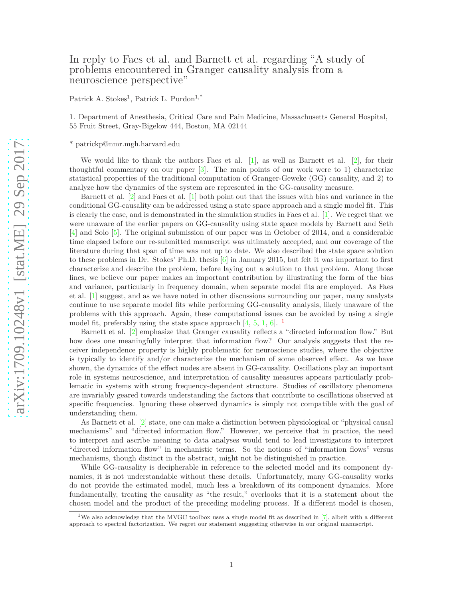## In reply to Faes et al. and Barnett et al. regarding "A study of problems encountered in Granger causality analysis from a neuroscience perspective"

Patrick A. Stokes<sup>1</sup>, Patrick L. Purdon<sup>1,\*</sup>

1. Department of Anesthesia, Critical Care and Pain Medicine, Massachusetts General Hospital, 55 Fruit Street, Gray-Bigelow 444, Boston, MA 02144

\* patrickp@nmr.mgh.harvard.edu

We would like to thank the authors Faes et al.  $[1]$ , as well as Barnett et al.  $[2]$ , for their thoughtful commentary on our paper [\[3\]](#page-1-2). The main points of our work were to 1) characterize statistical properties of the traditional computation of Granger-Geweke (GG) causality, and 2) to analyze how the dynamics of the system are represented in the GG-causality measure.

Barnett et al. [\[2\]](#page-1-1) and Faes et al. [\[1\]](#page-1-0) both point out that the issues with bias and variance in the conditional GG-causality can be addressed using a state space approach and a single model fit. This is clearly the case, and is demonstrated in the simulation studies in Faes et al. [\[1\]](#page-1-0). We regret that we were unaware of the earlier papers on GG-causality using state space models by Barnett and Seth [\[4\]](#page-1-3) and Solo [\[5\]](#page-1-4). The original submission of our paper was in October of 2014, and a considerable time elapsed before our re-submitted manuscript was ultimately accepted, and our coverage of the literature during that span of time was not up to date. We also described the state space solution to these problems in Dr. Stokes' Ph.D. thesis [\[6\]](#page-1-5) in January 2015, but felt it was important to first characterize and describe the problem, before laying out a solution to that problem. Along those lines, we believe our paper makes an important contribution by illustrating the form of the bias and variance, particularly in frequency domain, when separate model fits are employed. As Faes et al. [\[1\]](#page-1-0) suggest, and as we have noted in other discussions surrounding our paper, many analysts continue to use separate model fits while performing GG-causality analysis, likely unaware of the problems with this approach. Again, these computational issues can be avoided by using a single model fit, preferably using the state space approach  $[4, 5, 1, 6]$  $[4, 5, 1, 6]$  $[4, 5, 1, 6]$  $[4, 5, 1, 6]$  $[4, 5, 1, 6]$  $[4, 5, 1, 6]$ . <sup>[1](#page-0-0)</sup>

Barnett et al. [\[2\]](#page-1-1) emphasize that Granger causality reflects a "directed information flow." But how does one meaningfully interpret that information flow? Our analysis suggests that the receiver independence property is highly problematic for neuroscience studies, where the objective is typically to identify and/or characterize the mechanism of some observed effect. As we have shown, the dynamics of the effect nodes are absent in GG-causality. Oscillations play an important role in systems neuroscience, and interpretation of causality measures appears particularly problematic in systems with strong frequency-dependent structure. Studies of oscillatory phenomena are invariably geared towards understanding the factors that contribute to oscillations observed at specific frequencies. Ignoring these observed dynamics is simply not compatible with the goal of understanding them.

As Barnett et al. [\[2\]](#page-1-1) state, one can make a distinction between physiological or "physical causal" mechanisms" and "directed information flow." However, we perceive that in practice, the need to interpret and ascribe meaning to data analyses would tend to lead investigators to interpret "directed information flow" in mechanistic terms. So the notions of "information flows" versus mechanisms, though distinct in the abstract, might not be distinguished in practice.

While GG-causality is decipherable in reference to the selected model and its component dynamics, it is not understandable without these details. Unfortunately, many GG-causality works do not provide the estimated model, much less a breakdown of its component dynamics. More fundamentally, treating the causality as "the result," overlooks that it is a statement about the chosen model and the product of the preceding modeling process. If a different model is chosen,

<span id="page-0-0"></span><sup>&</sup>lt;sup>1</sup>We also acknowledge that the MVGC toolbox uses a single model fit as described in [\[7\]](#page-1-6), albeit with a different approach to spectral factorization. We regret our statement suggesting otherwise in our original manuscript.